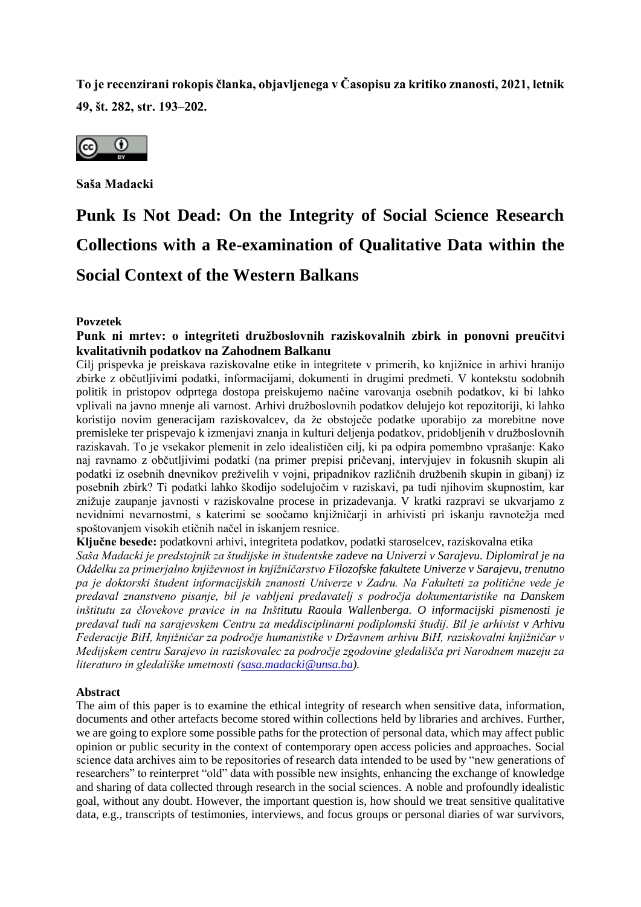**To je recenzirani rokopis članka, objavljenega v Časopisu za kritiko znanosti, 2021, letnik 49, št. 282, str. 193–202.** 



**Saša Madacki** 

# **Punk Is Not Dead: On the Integrity of Social Science Research Collections with a Re-examination of Qualitative Data within the Social Context of the Western Balkans**

**Povzetek**

# **Punk ni mrtev: o integriteti družboslovnih raziskovalnih zbirk in ponovni preučitvi kvalitativnih podatkov na Zahodnem Balkanu**

Cilj prispevka je preiskava raziskovalne etike in integritete v primerih, ko knjižnice in arhivi hranijo zbirke z občutljivimi podatki, informacijami, dokumenti in drugimi predmeti. V kontekstu sodobnih politik in pristopov odprtega dostopa preiskujemo načine varovanja osebnih podatkov, ki bi lahko vplivali na javno mnenje ali varnost. Arhivi družboslovnih podatkov delujejo kot repozitoriji, ki lahko koristijo novim generacijam raziskovalcev, da že obstoječe podatke uporabijo za morebitne nove premisleke ter prispevajo k izmenjavi znanja in kulturi deljenja podatkov, pridobljenih v družboslovnih raziskavah. To je vsekakor plemenit in zelo idealističen cilj, ki pa odpira pomembno vprašanje: Kako naj ravnamo z občutljivimi podatki (na primer prepisi pričevanj, intervjujev in fokusnih skupin ali podatki iz osebnih dnevnikov preživelih v vojni, pripadnikov različnih družbenih skupin in gibanj) iz posebnih zbirk? Ti podatki lahko škodijo sodelujočim v raziskavi, pa tudi njihovim skupnostim, kar znižuje zaupanje javnosti v raziskovalne procese in prizadevanja. V kratki razpravi se ukvarjamo z nevidnimi nevarnostmi, s katerimi se soočamo knjižničarji in arhivisti pri iskanju ravnotežja med spoštovanjem visokih etičnih načel in iskanjem resnice.

**Ključne besede:** podatkovni arhivi, integriteta podatkov, podatki staroselcev, raziskovalna etika

*Saša Madacki je predstojnik za študijske in študentske zadeve na Univerzi v Sarajevu. Diplomiral je na Oddelku za primerjalno književnost in knjižničarstvo Filozofske fakultete Univerze v Sarajevu, trenutno pa je doktorski študent informacijskih znanosti Univerze v Zadru. Na Fakulteti za politične vede je predaval znanstveno pisanje, bil je vabljeni predavatelj s področja dokumentaristike na Danskem inštitutu za človekove pravice in na Inštitutu Raoula Wallenberga. O informacijski pismenosti je predaval tudi na sarajevskem Centru za meddisciplinarni podiplomski študij. Bil je arhivist v Arhivu Federacije BiH, knjižničar za področje humanistike v Državnem arhivu BiH, raziskovalni knjižničar v Medijskem centru Sarajevo in raziskovalec za področje zgodovine gledališča pri Narodnem muzeju za literaturo in gledališke umetnosti [\(sasa.madacki@unsa.ba\)](mailto:sasa.madacki@unsa.ba).*

### **Abstract**

The aim of this paper is to examine the ethical integrity of research when sensitive data, information, documents and other artefacts become stored within collections held by libraries and archives. Further, we are going to explore some possible paths for the protection of personal data, which may affect public opinion or public security in the context of contemporary open access policies and approaches. Social science data archives aim to be repositories of research data intended to be used by "new generations of researchers" to reinterpret "old" data with possible new insights, enhancing the exchange of knowledge and sharing of data collected through research in the social sciences. A noble and profoundly idealistic goal, without any doubt. However, the important question is, how should we treat sensitive qualitative data, e.g., transcripts of testimonies, interviews, and focus groups or personal diaries of war survivors,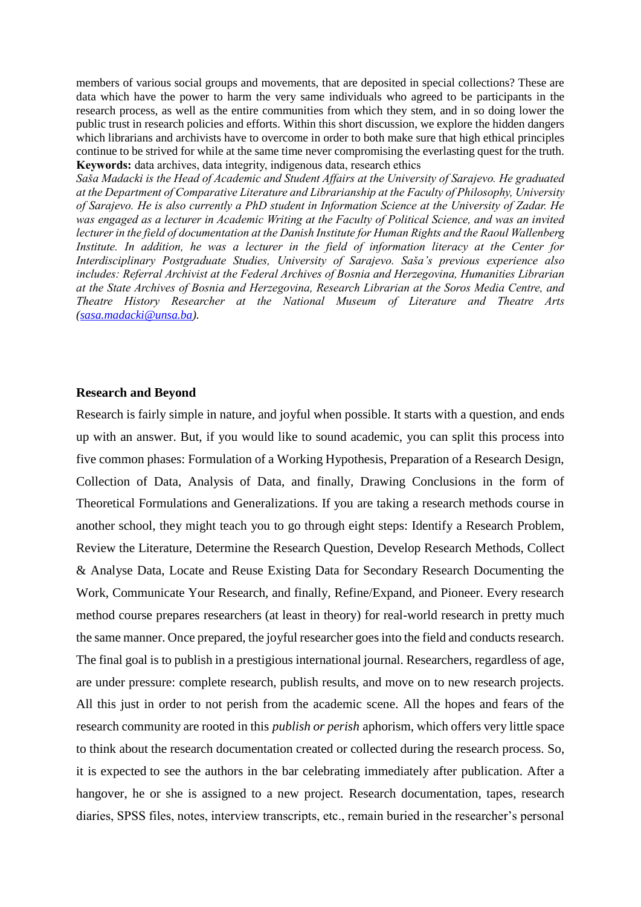members of various social groups and movements, that are deposited in special collections? These are data which have the power to harm the very same individuals who agreed to be participants in the research process, as well as the entire communities from which they stem, and in so doing lower the public trust in research policies and efforts. Within this short discussion, we explore the hidden dangers which librarians and archivists have to overcome in order to both make sure that high ethical principles continue to be strived for while at the same time never compromising the everlasting quest for the truth. **Keywords:** data archives, data integrity, indigenous data, research ethics

*Saša Madacki is the Head of Academic and Student Affairs at the University of Sarajevo. He graduated at the Department of Comparative Literature and Librarianship at the Faculty of Philosophy, University of Sarajevo. He is also currently a PhD student in Information Science at the University of Zadar. He was engaged as a lecturer in Academic Writing at the Faculty of Political Science, and was an invited lecturer in the field of documentation at the Danish Institute for Human Rights and the Raoul Wallenberg*  Institute. In addition, he was a lecturer in the field of information literacy at the Center for *Interdisciplinary Postgraduate Studies, University of Sarajevo. Saša's previous experience also includes: Referral Archivist at the Federal Archives of Bosnia and Herzegovina, Humanities Librarian at the State Archives of Bosnia and Herzegovina, Research Librarian at the Soros Media Centre, and Theatre History Researcher at the National Museum of Literature and Theatre Arts [\(sasa.madacki@unsa.ba\)](mailto:sasa.madacki@unsa.ba).*

#### **Research and Beyond**

Research is fairly simple in nature, and joyful when possible. It starts with a question, and ends up with an answer. But, if you would like to sound academic, you can split this process into five common phases: Formulation of a Working Hypothesis, Preparation of a Research Design, Collection of Data, Analysis of Data, and finally, Drawing Conclusions in the form of Theoretical Formulations and Generalizations. If you are taking a research methods course in another school, they might teach you to go through eight steps: Identify a Research Problem, Review the Literature, Determine the Research Question, Develop Research Methods, Collect & Analyse Data, Locate and Reuse Existing Data for Secondary Research Documenting the Work, Communicate Your Research, and finally, Refine/Expand, and Pioneer. Every research method course prepares researchers (at least in theory) for real-world research in pretty much the same manner. Once prepared, the joyful researcher goes into the field and conducts research. The final goal is to publish in a prestigious international journal. Researchers, regardless of age, are under pressure: complete research, publish results, and move on to new research projects. All this just in order to not perish from the academic scene. All the hopes and fears of the research community are rooted in this *publish or perish* aphorism, which offers very little space to think about the research documentation created or collected during the research process. So, it is expected to see the authors in the bar celebrating immediately after publication. After a hangover, he or she is assigned to a new project. Research documentation, tapes, research diaries, SPSS files, notes, interview transcripts, etc., remain buried in the researcher's personal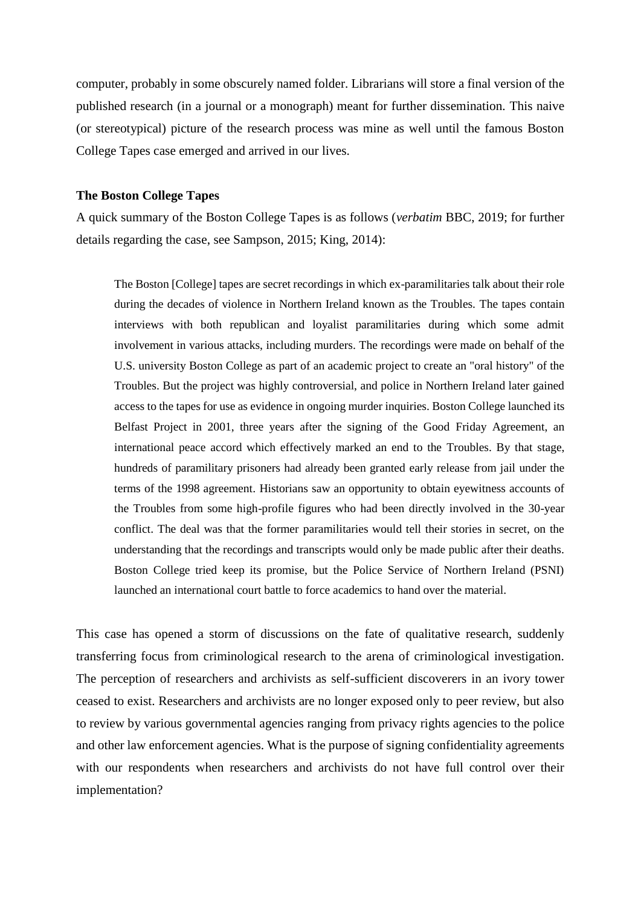computer, probably in some obscurely named folder. Librarians will store a final version of the published research (in a journal or a monograph) meant for further dissemination. This naive (or stereotypical) picture of the research process was mine as well until the famous Boston College Tapes case emerged and arrived in our lives.

### **The Boston College Tapes**

A quick summary of the Boston College Tapes is as follows (*verbatim* BBC, 2019; for further details regarding the case, see Sampson, 2015; King, 2014):

The Boston [College] tapes are secret recordings in which ex-paramilitaries talk about their role during the decades of violence in Northern Ireland known as the Troubles. The tapes contain interviews with both republican and loyalist paramilitaries during which some admit involvement in various attacks, including murders. The recordings were made on behalf of the U.S. university Boston College as part of an academic project to create an "oral history" of the Troubles. But the project was highly controversial, and police in Northern Ireland later gained access to the tapes for use as evidence in ongoing murder inquiries. Boston College launched its Belfast Project in 2001, three years after the signing of the Good Friday Agreement, an international peace accord which effectively marked an end to the Troubles. By that stage, hundreds of paramilitary prisoners had already been granted early release from jail under the terms of the 1998 agreement. Historians saw an opportunity to obtain eyewitness accounts of the Troubles from some high-profile figures who had been directly involved in the 30-year conflict. The deal was that the former paramilitaries would tell their stories in secret, on the understanding that the recordings and transcripts would only be made public after their deaths. Boston College tried keep its promise, but the Police Service of Northern Ireland (PSNI) launched an international court battle to force academics to hand over the material.

This case has opened a storm of discussions on the fate of qualitative research, suddenly transferring focus from criminological research to the arena of criminological investigation. The perception of researchers and archivists as self-sufficient discoverers in an ivory tower ceased to exist. Researchers and archivists are no longer exposed only to peer review, but also to review by various governmental agencies ranging from privacy rights agencies to the police and other law enforcement agencies. What is the purpose of signing confidentiality agreements with our respondents when researchers and archivists do not have full control over their implementation?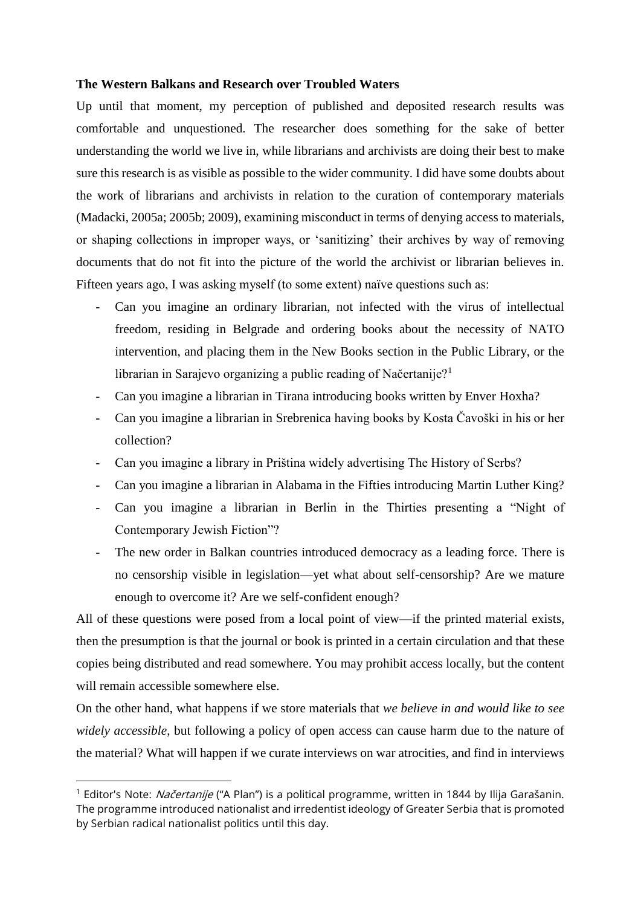## **The Western Balkans and Research over Troubled Waters**

Up until that moment, my perception of published and deposited research results was comfortable and unquestioned. The researcher does something for the sake of better understanding the world we live in, while librarians and archivists are doing their best to make sure this research is as visible as possible to the wider community. I did have some doubts about the work of librarians and archivists in relation to the curation of contemporary materials (Madacki, 2005a; 2005b; 2009), examining misconduct in terms of denying access to materials, or shaping collections in improper ways, or 'sanitizing' their archives by way of removing documents that do not fit into the picture of the world the archivist or librarian believes in. Fifteen years ago, I was asking myself (to some extent) naïve questions such as:

- Can you imagine an ordinary librarian, not infected with the virus of intellectual freedom, residing in Belgrade and ordering books about the necessity of NATO intervention, and placing them in the New Books section in the Public Library, or the librarian in Sarajevo organizing a public reading of Načertanije?<sup>1</sup>
- Can you imagine a librarian in Tirana introducing books written by Enver Hoxha?
- Can you imagine a librarian in Srebrenica having books by Kosta Čavoški in his or her collection?
- Can you imagine a library in Priština widely advertising The History of Serbs?
- Can you imagine a librarian in Alabama in the Fifties introducing Martin Luther King?
- Can you imagine a librarian in Berlin in the Thirties presenting a "Night of Contemporary Jewish Fiction"?
- The new order in Balkan countries introduced democracy as a leading force. There is no censorship visible in legislation—yet what about self-censorship? Are we mature enough to overcome it? Are we self-confident enough?

All of these questions were posed from a local point of view—if the printed material exists, then the presumption is that the journal or book is printed in a certain circulation and that these copies being distributed and read somewhere. You may prohibit access locally, but the content will remain accessible somewhere else.

On the other hand, what happens if we store materials that *we believe in and would like to see widely accessible*, but following a policy of open access can cause harm due to the nature of the material? What will happen if we curate interviews on war atrocities, and find in interviews

**.** 

<sup>&</sup>lt;sup>1</sup> Editor's Note: *Načertanije* ("A Plan") is a political programme, written in 1844 by Ilija Garašanin. The programme introduced nationalist and irredentist ideology of Greater Serbia that is promoted by Serbian radical nationalist politics until this day.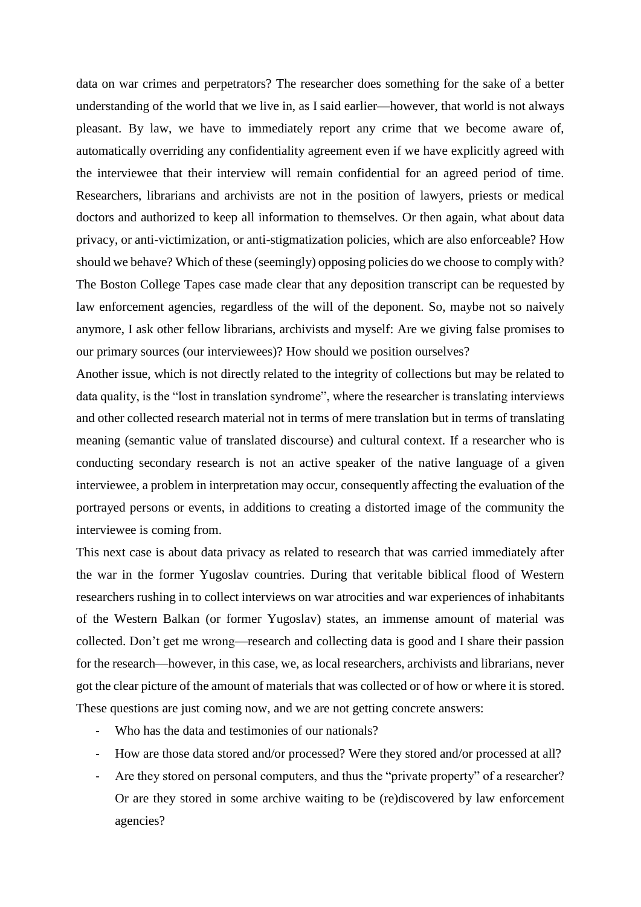data on war crimes and perpetrators? The researcher does something for the sake of a better understanding of the world that we live in, as I said earlier—however, that world is not always pleasant. By law, we have to immediately report any crime that we become aware of, automatically overriding any confidentiality agreement even if we have explicitly agreed with the interviewee that their interview will remain confidential for an agreed period of time. Researchers, librarians and archivists are not in the position of lawyers, priests or medical doctors and authorized to keep all information to themselves. Or then again, what about data privacy, or anti-victimization, or anti-stigmatization policies, which are also enforceable? How should we behave? Which of these (seemingly) opposing policies do we choose to comply with? The Boston College Tapes case made clear that any deposition transcript can be requested by law enforcement agencies, regardless of the will of the deponent. So, maybe not so naively anymore, I ask other fellow librarians, archivists and myself: Are we giving false promises to our primary sources (our interviewees)? How should we position ourselves?

Another issue, which is not directly related to the integrity of collections but may be related to data quality, is the "lost in translation syndrome", where the researcher is translating interviews and other collected research material not in terms of mere translation but in terms of translating meaning (semantic value of translated discourse) and cultural context. If a researcher who is conducting secondary research is not an active speaker of the native language of a given interviewee, a problem in interpretation may occur, consequently affecting the evaluation of the portrayed persons or events, in additions to creating a distorted image of the community the interviewee is coming from.

This next case is about data privacy as related to research that was carried immediately after the war in the former Yugoslav countries. During that veritable biblical flood of Western researchers rushing in to collect interviews on war atrocities and war experiences of inhabitants of the Western Balkan (or former Yugoslav) states, an immense amount of material was collected. Don't get me wrong—research and collecting data is good and I share their passion for the research—however, in this case, we, as local researchers, archivists and librarians, never got the clear picture of the amount of materials that was collected or of how or where it is stored. These questions are just coming now, and we are not getting concrete answers:

- Who has the data and testimonies of our nationals?
- How are those data stored and/or processed? Were they stored and/or processed at all?
- Are they stored on personal computers, and thus the "private property" of a researcher? Or are they stored in some archive waiting to be (re)discovered by law enforcement agencies?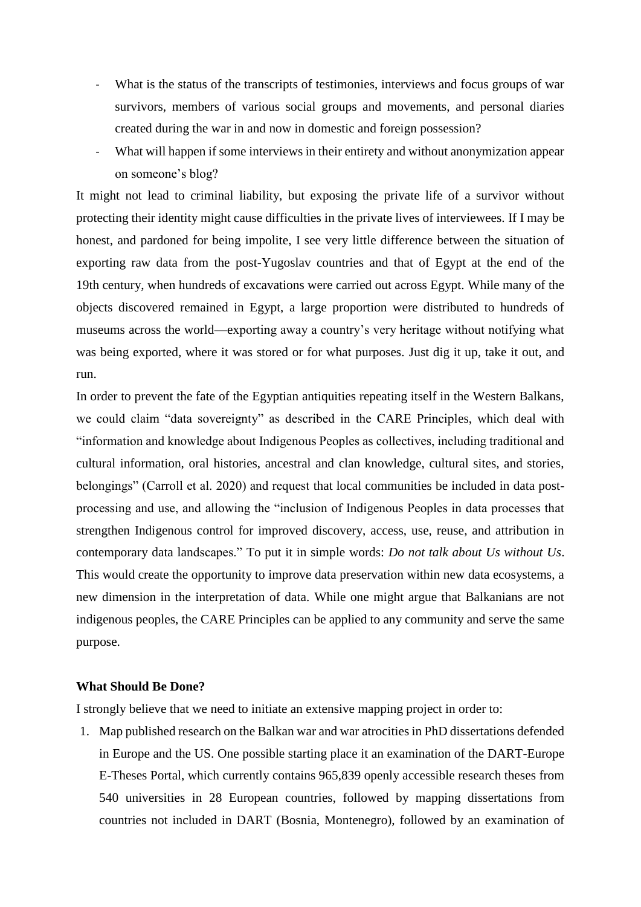- What is the status of the transcripts of testimonies, interviews and focus groups of war survivors, members of various social groups and movements, and personal diaries created during the war in and now in domestic and foreign possession?
- What will happen if some interviews in their entirety and without anonymization appear on someone's blog?

It might not lead to criminal liability, but exposing the private life of a survivor without protecting their identity might cause difficulties in the private lives of interviewees. If I may be honest, and pardoned for being impolite, I see very little difference between the situation of exporting raw data from the post-Yugoslav countries and that of Egypt at the end of the 19th century, when hundreds of excavations were carried out across Egypt. While many of the objects discovered remained in Egypt, a large proportion were distributed to hundreds of museums across the world—exporting away a country's very heritage without notifying what was being exported, where it was stored or for what purposes. Just dig it up, take it out, and run.

In order to prevent the fate of the Egyptian antiquities repeating itself in the Western Balkans, we could claim "data sovereignty" as described in the CARE Principles, which deal with "information and knowledge about Indigenous Peoples as collectives, including traditional and cultural information, oral histories, ancestral and clan knowledge, cultural sites, and stories, belongings" (Carroll et al. 2020) and request that local communities be included in data postprocessing and use, and allowing the "inclusion of Indigenous Peoples in data processes that strengthen Indigenous control for improved discovery, access, use, reuse, and attribution in contemporary data landscapes." To put it in simple words: *Do not talk about Us without Us*. This would create the opportunity to improve data preservation within new data ecosystems, a new dimension in the interpretation of data. While one might argue that Balkanians are not indigenous peoples, the CARE Principles can be applied to any community and serve the same purpose.

## **What Should Be Done?**

I strongly believe that we need to initiate an extensive mapping project in order to:

1. Map published research on the Balkan war and war atrocities in PhD dissertations defended in Europe and the US. One possible starting place it an examination of the DART-Europe E-Theses Portal, which currently contains 965,839 openly accessible research theses from 540 universities in 28 European countries, followed by mapping dissertations from countries not included in DART (Bosnia, Montenegro), followed by an examination of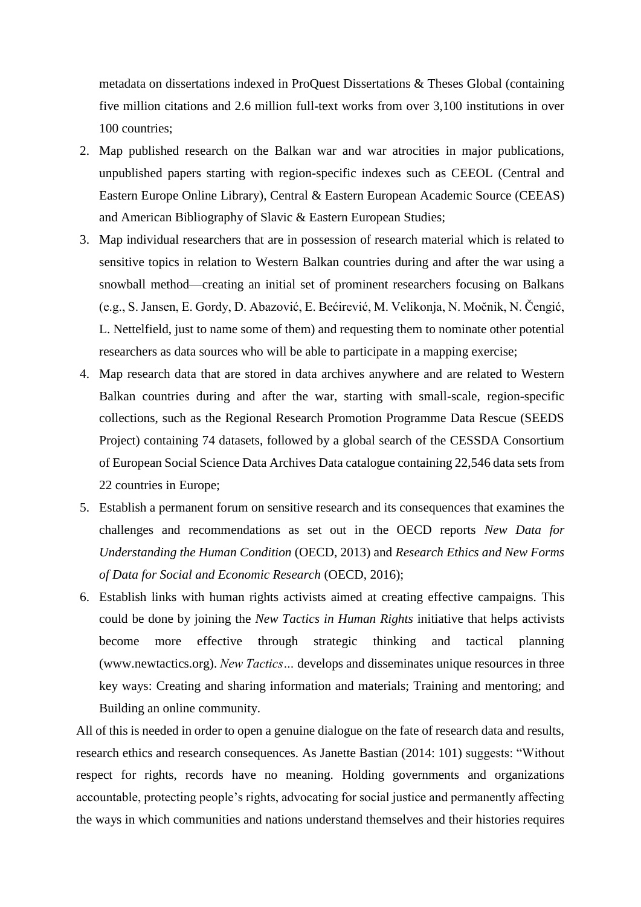metadata on dissertations indexed in ProQuest Dissertations & Theses Global (containing five million citations and 2.6 million full-text works from over 3,100 institutions in over 100 countries;

- 2. Map published research on the Balkan war and war atrocities in major publications, unpublished papers starting with region-specific indexes such as CEEOL (Central and Eastern Europe Online Library), Central & Eastern European Academic Source (CEEAS) and American Bibliography of Slavic & Eastern European Studies;
- 3. Map individual researchers that are in possession of research material which is related to sensitive topics in relation to Western Balkan countries during and after the war using a snowball method—creating an initial set of prominent researchers focusing on Balkans (e.g., S. Jansen, E. Gordy, D. Abazović, E. Bećirević, M. Velikonja, N. Močnik, N. Čengić, L. Nettelfield, just to name some of them) and requesting them to nominate other potential researchers as data sources who will be able to participate in a mapping exercise;
- 4. Map research data that are stored in data archives anywhere and are related to Western Balkan countries during and after the war, starting with small-scale, region-specific collections, such as the Regional Research Promotion Programme Data Rescue (SEEDS Project) containing 74 datasets, followed by a global search of the CESSDA Consortium of European Social Science Data Archives Data catalogue containing 22,546 data sets from 22 countries in Europe;
- 5. Establish a permanent forum on sensitive research and its consequences that examines the challenges and recommendations as set out in the OECD reports *New Data for Understanding the Human Condition* (OECD, 2013) and *Research Ethics and New Forms of Data for Social and Economic Research* (OECD, 2016);
- 6. Establish links with human rights activists aimed at creating effective campaigns. This could be done by joining the *New Tactics in Human Rights* initiative that helps activists become more effective through strategic thinking and tactical planning (www.newtactics.org). *New Tactics…* develops and disseminates unique resources in three key ways: Creating and sharing information and materials; Training and mentoring; and Building an online community.

All of this is needed in order to open a genuine dialogue on the fate of research data and results, research ethics and research consequences. As Janette Bastian (2014: 101) suggests: "Without respect for rights, records have no meaning. Holding governments and organizations accountable, protecting people's rights, advocating for social justice and permanently affecting the ways in which communities and nations understand themselves and their histories requires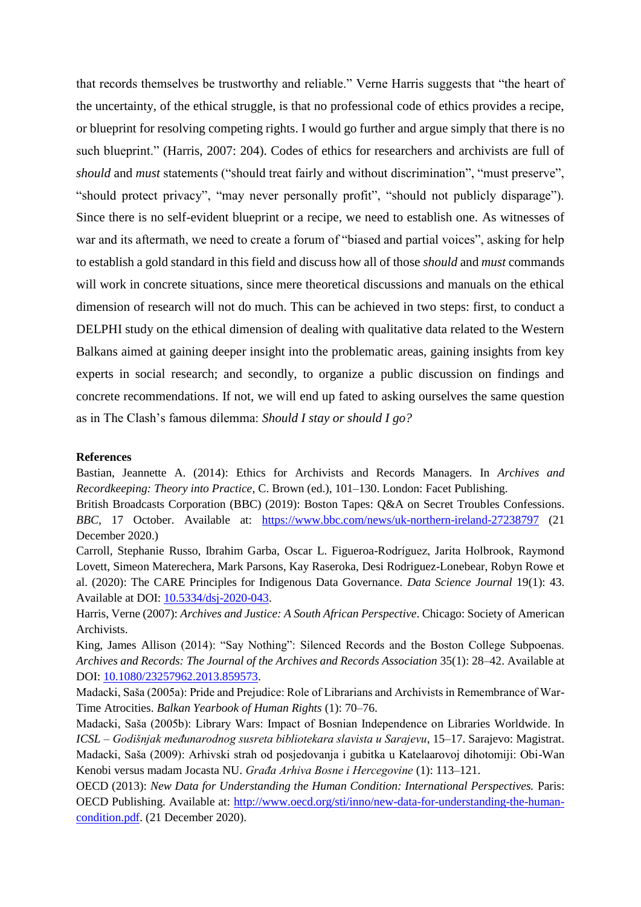that records themselves be trustworthy and reliable." Verne Harris suggests that "the heart of the uncertainty, of the ethical struggle, is that no professional code of ethics provides a recipe, or blueprint for resolving competing rights. I would go further and argue simply that there is no such blueprint." (Harris, 2007: 204). Codes of ethics for researchers and archivists are full of *should* and *must* statements ("should treat fairly and without discrimination", "must preserve", "should protect privacy", "may never personally profit", "should not publicly disparage"). Since there is no self-evident blueprint or a recipe, we need to establish one. As witnesses of war and its aftermath, we need to create a forum of "biased and partial voices", asking for help to establish a gold standard in this field and discuss how all of those *should* and *must* commands will work in concrete situations, since mere theoretical discussions and manuals on the ethical dimension of research will not do much. This can be achieved in two steps: first, to conduct a DELPHI study on the ethical dimension of dealing with qualitative data related to the Western Balkans aimed at gaining deeper insight into the problematic areas, gaining insights from key experts in social research; and secondly, to organize a public discussion on findings and concrete recommendations. If not, we will end up fated to asking ourselves the same question as in The Clash's famous dilemma: *Should I stay or should I go?*

#### **References**

Bastian, Jeannette A. (2014): Ethics for Archivists and Records Managers. In *Archives and Recordkeeping: Theory into Practice*, C. Brown (ed.), 101–130. London: Facet Publishing.

British Broadcasts Corporation (BBC) (2019): Boston Tapes: Q&A on Secret Troubles Confessions. *BBC,* 17 October. Available at: <https://www.bbc.com/news/uk-northern-ireland-27238797> (21 December 2020.)

Carroll, Stephanie Russo, Ibrahim Garba, Oscar L. Figueroa-Rodríguez, Jarita Holbrook, Raymond Lovett, Simeon Materechera, Mark Parsons, Kay Raseroka, Desi Rodriguez-Lonebear, Robyn Rowe et al. (2020): The CARE Principles for Indigenous Data Governance. *Data Science Journal* 19(1): 43. Available at DOI: [10.5334/dsj-2020-043.](http://doi.org/10.5334/dsj-2020-043)

Harris, Verne (2007): *Archives and Justice: A South African Perspective*. Chicago: Society of American Archivists.

King, James Allison (2014): "Say Nothing": Silenced Records and the Boston College Subpoenas. *Archives and Records: The Journal of the Archives and Records Association* 35(1): 28–42. Available at DOI: [10.1080/23257962.2013.859573.](http://doi.org/10.1080/23257962.2013.859573)

Madacki, Saša (2005a): Pride and Prejudice: Role of Librarians and Archivists in Remembrance of War-Time Atrocities. *Balkan Yearbook of Human Rights* (1): 70–76.

Madacki, Saša (2005b): Library Wars: Impact of Bosnian Independence on Libraries Worldwide. In *ICSL – Godišnjak međunarodnog susreta bibliotekara slavista u Sarajevu*, 15–17. Sarajevo: Magistrat. Madacki, Saša (2009): Arhivski strah od posjedovanja i gubitka u Katelaarovoj dihotomiji: Obi-Wan Kenobi versus madam Jocasta NU. *Građa Arhiva Bosne i Hercegovine* (1): 113–121.

OECD (2013): *New Data for Understanding the Human Condition: International Perspectives.* Paris: OECD Publishing. Available at: [http://www.oecd.org/sti/inno/new-data-for-understanding-the-human](http://www.oecd.org/sti/inno/new-data-for-understanding-the-human-condition.pdf)[condition.pdf.](http://www.oecd.org/sti/inno/new-data-for-understanding-the-human-condition.pdf) (21 December 2020).